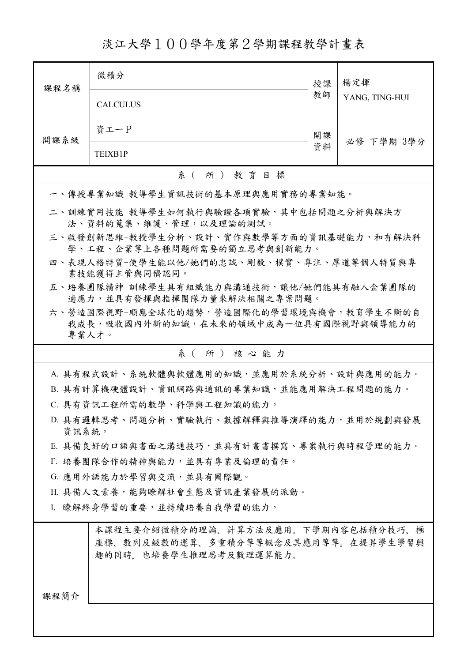淡江大學100學年度第2學期課程教學計畫表

| 課程名稱                                                                    | 微積分                                      | 授課 | 楊定揮<br>YANG, TING-HUI |  |
|-------------------------------------------------------------------------|------------------------------------------|----|-----------------------|--|
|                                                                         | <b>CALCULUS</b>                          | 教師 |                       |  |
| 開課系級                                                                    | 資工一P                                     | 開課 | 必修 下學期 3學分            |  |
|                                                                         | TEIXB1P                                  | 資料 |                       |  |
| 系(所)教育目標                                                                |                                          |    |                       |  |
|                                                                         | 一、傳授專業知識-教導學生資訊技術的基本原理與應用實務的專業知能。        |    |                       |  |
| 二、訓練實用技能-教導學生如何執行與驗證各項實驗,其中包括問題之分析與解決方<br>法、資料的蒐集、維護、管理,以及理論的測試。        |                                          |    |                       |  |
| 三、啟發創新思維-教授學生分析、設計、實作與數學等方面的資訊基礎能力,和有解決科<br>學、工程、企業等上各種問題所需要的獨立思考與創新能力。 |                                          |    |                       |  |
| 四、表現人格特質-使學生能以他/她們的忠誠、剛毅、樸實、專注、厚道等個人特質與專<br>業技能獲得主管與同儕認同。               |                                          |    |                       |  |
| 五、培養團隊精神-訓練學生具有組織能力與溝通技術,讓他/她們能具有融入企業團隊的<br>適應力,並具有發揮與指揮團隊力量來解決相關之專案問題。 |                                          |    |                       |  |
|                                                                         | 六、營造國際視野-順應全球化的趨勢,營造國際化的學習環境與機會,教育學生不斷的自 |    |                       |  |
| 專業人才。                                                                   | 我成長,吸收國內外新的知識,在未來的領域中成為一位具有國際視野與領導能力的    |    |                       |  |
| 系(所)核心能力                                                                |                                          |    |                       |  |
| A. 具有程式設計、系統軟體與軟體應用的知識,並應用於系統分析、設計與應用的能力。                               |                                          |    |                       |  |
|                                                                         | B. 具有計算機硬體設計、資訊網路與通訊的專業知識,並能應用解決工程問題的能力。 |    |                       |  |
| C. 具有資訊工程所需的數學、科學與工程知識的能力。                                              |                                          |    |                       |  |
| D. 具有邏輯思考、問題分析、實驗執行、數據解釋與推導演繹的能力,並用於規劃與發展                               |                                          |    |                       |  |
| 資訊系統。<br>E. 具備良好的口語與書面之溝通技巧,並具有計畫書撰寫、專案執行與時程管理的能力。                      |                                          |    |                       |  |
| F. 培養團隊合作的精神與能力,並具有專業及倫理的責任。                                            |                                          |    |                       |  |
| G. 應用外語能力於學習與交流,並具有國際觀。                                                 |                                          |    |                       |  |
| H. 具備人文素養,能夠瞭解社會生態及資訊產業發展的派動。                                           |                                          |    |                       |  |
| I. 瞭解終身學習的重要,並持續培養自我學習的能力。                                              |                                          |    |                       |  |
|                                                                         | 本課程主要介紹微積分的理論、計算方法及應用。下學期內容包括積分技巧、極      |    |                       |  |
|                                                                         | 座標、數列及級數的運算、多重積分等等概念及其應用等等。在提昇學生學習興      |    |                       |  |
|                                                                         | 趣的同時,也培養學生推理思考及數理運算能力。                   |    |                       |  |
|                                                                         |                                          |    |                       |  |
| 課程簡介                                                                    |                                          |    |                       |  |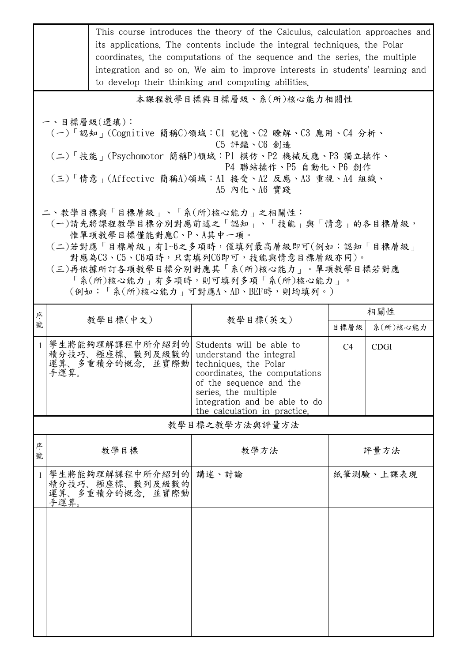|                                                                                                                                                                                                                                  | This course introduces the theory of the Calculus, calculation approaches and<br>its applications. The contents include the integral techniques, the Polar<br>coordinates, the computations of the sequence and the series, the multiple<br>integration and so on. We aim to improve interests in students' learning and<br>to develop their thinking and computing abilities. |                                                                                                                                                                                                                                                          |      |                 |  |  |  |
|----------------------------------------------------------------------------------------------------------------------------------------------------------------------------------------------------------------------------------|--------------------------------------------------------------------------------------------------------------------------------------------------------------------------------------------------------------------------------------------------------------------------------------------------------------------------------------------------------------------------------|----------------------------------------------------------------------------------------------------------------------------------------------------------------------------------------------------------------------------------------------------------|------|-----------------|--|--|--|
| 本課程教學目標與目標層級、系(所)核心能力相關性                                                                                                                                                                                                         |                                                                                                                                                                                                                                                                                                                                                                                |                                                                                                                                                                                                                                                          |      |                 |  |  |  |
| 一、目標層級(選填):<br>(一)「認知」(Cognitive 簡稱C)領域:Cl 記憶、C2 瞭解、C3 應用、C4 分析、<br>C5 評鑑、C6 創造<br>(二)「技能」(Psychomotor 簡稱P)領域:P1 模仿、P2 機械反應、P3 獨立操作、<br>P4 聯結操作、P5 自動化、P6 創作<br>(三)「情意」(Affective 簡稱A)領域:Al 接受、A2 反應、A3 重視、A4 組織、<br>A5 内化、A6 實踐 |                                                                                                                                                                                                                                                                                                                                                                                |                                                                                                                                                                                                                                                          |      |                 |  |  |  |
|                                                                                                                                                                                                                                  | 二、教學目標與「目標層級」、「系(所)核心能力」之相關性:<br>惟單項教學目標僅能對應C、P、A其中一項。                                                                                                                                                                                                                                                                                                                         | (一)請先將課程教學目標分別對應前述之「認知」、「技能」與「情意」的各目標層級,<br>(二)若對應「目標層級」有1~6之多項時,僅填列最高層級即可(例如:認知「目標層級」<br>對應為C3、C5、C6項時,只需填列C6即可,技能與情意目標層級亦同)。<br>(三)再依據所訂各項教學目標分別對應其「系(所)核心能力」。單項教學目標若對應<br>「系(所)核心能力   有多項時,則可填列多項「系(所)核心能力   。<br>(例如:「系(所)核心能力   可對應A、AD、BEF時,則均填列。) |      |                 |  |  |  |
| 序<br>號                                                                                                                                                                                                                           | 教學目標(中文)                                                                                                                                                                                                                                                                                                                                                                       | 教學目標(英文)                                                                                                                                                                                                                                                 | 目標層級 | 相關性<br>系(所)核心能力 |  |  |  |
| 1 <sup>1</sup>                                                                                                                                                                                                                   | 學生將能夠理解課程中所介紹到的 Students will be able to<br>積分技巧、極座標、數列及級數的<br>運算、多重積分的概念,並實際動<br>手運算。                                                                                                                                                                                                                                                                                         | understand the integral<br>techniques, the Polar<br>coordinates, the computations<br>of the sequence and the<br>series, the multiple<br>integration and be able to do<br>the calculation in practice.                                                    | C4   | <b>CDGI</b>     |  |  |  |
| 教學目標之教學方法與評量方法                                                                                                                                                                                                                   |                                                                                                                                                                                                                                                                                                                                                                                |                                                                                                                                                                                                                                                          |      |                 |  |  |  |
| 序<br>號                                                                                                                                                                                                                           | 教學目標                                                                                                                                                                                                                                                                                                                                                                           | 教學方法                                                                                                                                                                                                                                                     |      | 評量方法            |  |  |  |
| $\mathbf{1}$                                                                                                                                                                                                                     | 學生將能夠理解課程中所介紹到的 講述、討論<br>積分技巧、極座標、數列及級數的<br>運算、多重積分的概念, 並實際動<br>手運算。                                                                                                                                                                                                                                                                                                           |                                                                                                                                                                                                                                                          |      | 紙筆測驗、上課表現       |  |  |  |
|                                                                                                                                                                                                                                  |                                                                                                                                                                                                                                                                                                                                                                                |                                                                                                                                                                                                                                                          |      |                 |  |  |  |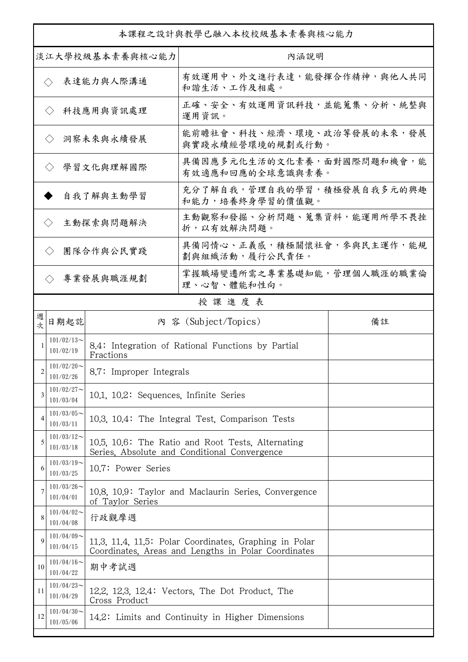| 本課程之設計與教學已融入本校校級基本素養與核心能力      |                            |                                                                                                               |                                                      |    |  |
|--------------------------------|----------------------------|---------------------------------------------------------------------------------------------------------------|------------------------------------------------------|----|--|
| 淡江大學校級基本素養與核心能力                |                            |                                                                                                               | 內涵說明                                                 |    |  |
|                                | $\langle \rangle$          | 表達能力與人際溝通                                                                                                     | 有效運用中、外文進行表達,能發揮合作精神,與他人共同<br>和諧生活、工作及相處。            |    |  |
| 科技應用與資訊處理<br>$\langle \rangle$ |                            |                                                                                                               | 正確、安全、有效運用資訊科技,並能蒐集、分析、統整與<br>運用資訊。                  |    |  |
| 洞察未來與永續發展<br>$\langle \rangle$ |                            |                                                                                                               | 能前瞻社會、科技、經濟、環境、政治等發展的未來,發展<br>與實踐永續經營環境的規劃或行動。       |    |  |
| 學習文化與理解國際<br>$\langle \rangle$ |                            |                                                                                                               | 具備因應多元化生活的文化素養,面對國際問題和機會,能<br>有效適應和回應的全球意識與素養。       |    |  |
| 自我了解與主動學習                      |                            |                                                                                                               | 充分了解自我,管理自我的學習,積極發展自我多元的興趣<br>和能力,培養終身學習的價值觀。        |    |  |
| 主動探索與問題解決<br>$\langle \rangle$ |                            |                                                                                                               | 主動觀察和發掘、分析問題、蒐集資料,能運用所學不畏挫<br>折,以有效解決問題。             |    |  |
|                                | $\langle \rangle$          | 團隊合作與公民實踐                                                                                                     | 具備同情心、正義感,積極關懷社會,參與民主運作,能規<br>劃與組織活動, 履行公民責任。        |    |  |
| 專業發展與職涯規劃<br>$\langle \rangle$ |                            |                                                                                                               | 掌握職場變遷所需之專業基礎知能,管理個人職涯的職業倫<br>理、心智、體能和性向。            |    |  |
|                                |                            |                                                                                                               | 授課進度表                                                |    |  |
| 週<br>坎                         | 日期起訖                       |                                                                                                               | 內 容 (Subject/Topics)                                 | 備註 |  |
|                                | $101/02/13$ ~<br>101/02/19 | Fractions                                                                                                     | 8.4: Integration of Rational Functions by Partial    |    |  |
| $\mathfrak{D}$                 | $101/02/20$ ~<br>101/02/26 | 8.7: Improper Integrals                                                                                       |                                                      |    |  |
| 3                              | $101/02/27$ ~<br>101/03/04 | 10.1, 10.2: Sequences, Infinite Series                                                                        |                                                      |    |  |
| 4                              | $101/03/05$ ~<br>101/03/11 |                                                                                                               | 10.3, 10.4: The Integral Test, Comparison Tests      |    |  |
| 5                              | $101/03/12$ ~<br>101/03/18 | 10.5, 10.6: The Ratio and Root Tests, Alternating<br>Series, Absolute and Conditional Convergence             |                                                      |    |  |
| 6                              | $101/03/19$ ~<br>101/03/25 | 10.7: Power Series                                                                                            |                                                      |    |  |
| 7                              | $101/03/26$ ~<br>101/04/01 | of Taylor Series                                                                                              | 10.8, 10.9: Taylor and Maclaurin Series, Convergence |    |  |
| 8                              | $101/04/02$ ~<br>101/04/08 | 行政觀摩週                                                                                                         |                                                      |    |  |
| 9                              | $101/04/09$ ~<br>101/04/15 | 11.3, 11.4, 11.5: Polar Coordinates, Graphing in Polar<br>Coordinates, Areas and Lengths in Polar Coordinates |                                                      |    |  |
| 10                             | $101/04/16$ ~<br>101/04/22 | 期中考試週                                                                                                         |                                                      |    |  |
| 11                             | $101/04/23$ ~<br>101/04/29 | Cross Product                                                                                                 | 12.2, 12.3, 12.4: Vectors, The Dot Product, The      |    |  |
| 12                             | $101/04/30$ ~<br>101/05/06 |                                                                                                               | 14.2: Limits and Continuity in Higher Dimensions     |    |  |